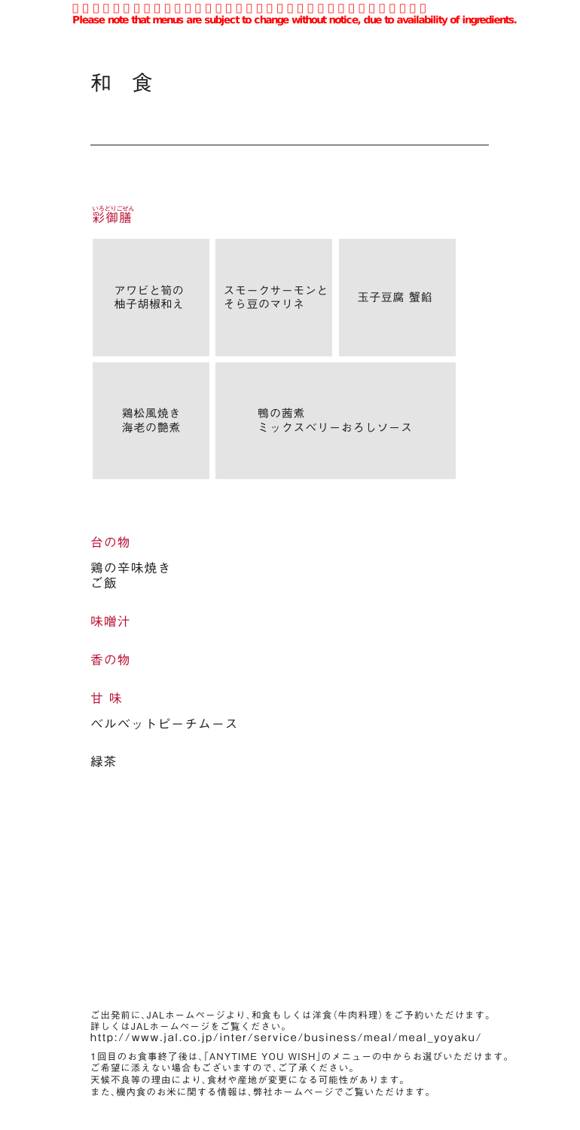和 食

# <sub>いろどりごぜん</sub><br><mark>彩御</mark>膳

| アワビと筍の<br>柚子胡椒和え | スモークサーモンと<br>そら豆のマリネ  | 玉子豆腐 蟹餡 |
|------------------|-----------------------|---------|
| 鶏松風焼き<br>海老の艶煮   | 鴨の茜煮<br>ミックスベリーおろしソース |         |

#### 台の物

鶏の辛味焼き ご飯

#### 味噌汁

香の物

#### 甘 味

ベルベットピーチムース

### 緑茶

ご出発前に、JALホームページより、和食もしくは洋食(牛肉料理)をご予約いただけます。 詳しくはJALホームページをご覧ください。 http://www.jal.co.jp/inter/service/business/meal/meal\_yoyaku/ 1回目のお食事終了後は、「ANYTIME YOU WISH」のメニューの中からお選びいただけます。 ご希望に添えない場合もございますので、ご了承ください。

天候不良等の理由により、食材や産地が変更になる可能性があります。 また、機内食のお米に関する情報は、弊社ホームページでご覧いただけます。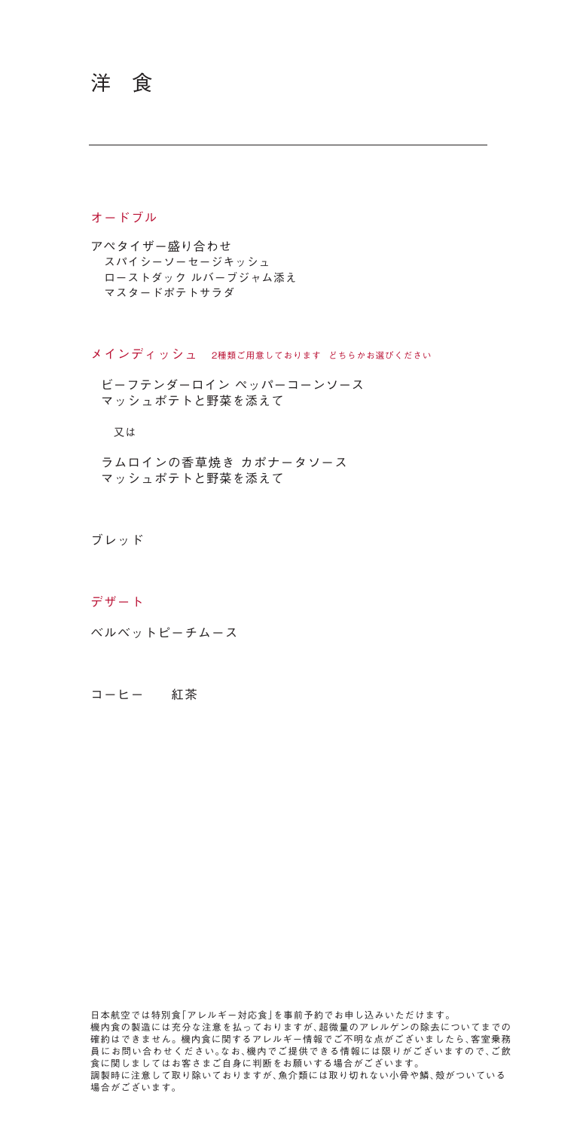# 洋 食

#### オードブル

アペタイザー盛り合わせ スパイシーソーセージキッシュ ローストダック ルバーブジャム添え マスタードポテトサラダ

メインディッシュ 2種類ご用意しております どちらかお選びください

ビーフテンダーロイン ペッパーコーンソース マッシュポテトと野菜を添えて

又は

ラムロインの香草焼き カポナータソース マッシュポテトと野菜を添えて

ブレッド

#### デザート

ベルベットピーチムース

コーヒー 紅茶

日本航空では特別食「アレルギー対応食」を事前予約でお申し込みいただけます。 機内食の製造には充分な注意を払っておりますが、超微量のアレルゲンの除去についてまでの 確約はできません。機内食に関するアレルギー情報でご不明な点がございましたら、客室乗務 員にお問い合わせください。なお、機内でご提供できる情報には限りがございますので、ご飲 食に関しましてはお客さまご自身に判断をお願いする場合がございます。 調製時に注意して取り除いておりますが、魚介類には取り切れない小骨や鱗、殻がついている 場合がございます。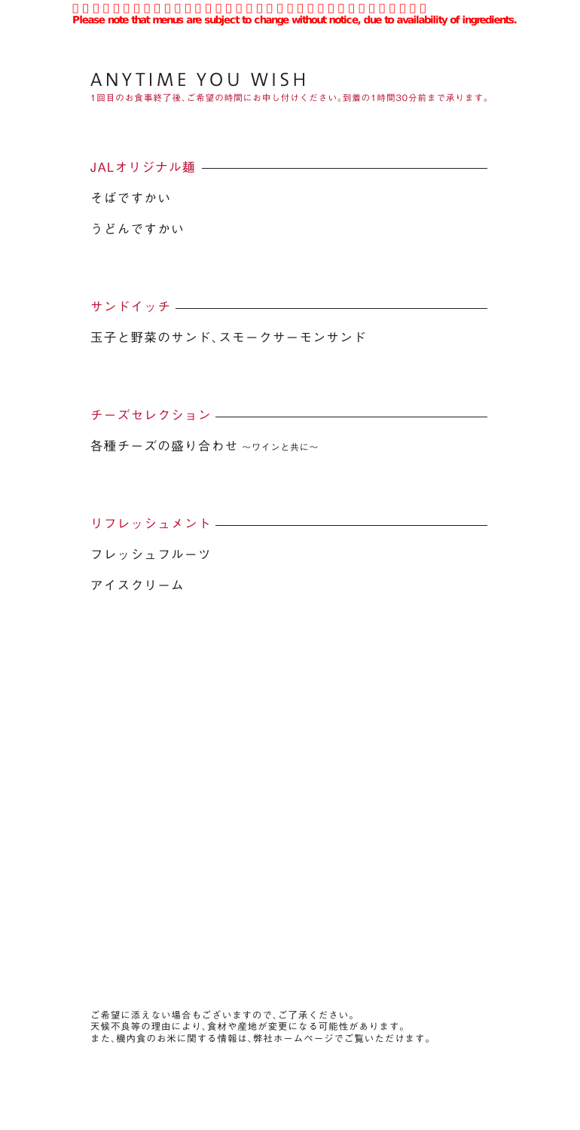1回目のお食事終了後、ご希望の時間にお申し付けください。到着の1時間30分前まで承ります。

JALオリジナル麺 ー

そばですかい

うどんですかい

サンドイッチ

玉子と野菜のサンド、スモークサーモンサンド

チーズセレクション

各種チーズの盛り合わせ 〜ワインと共に〜

リフレッシュメント フレッシュフルーツ アイスクリーム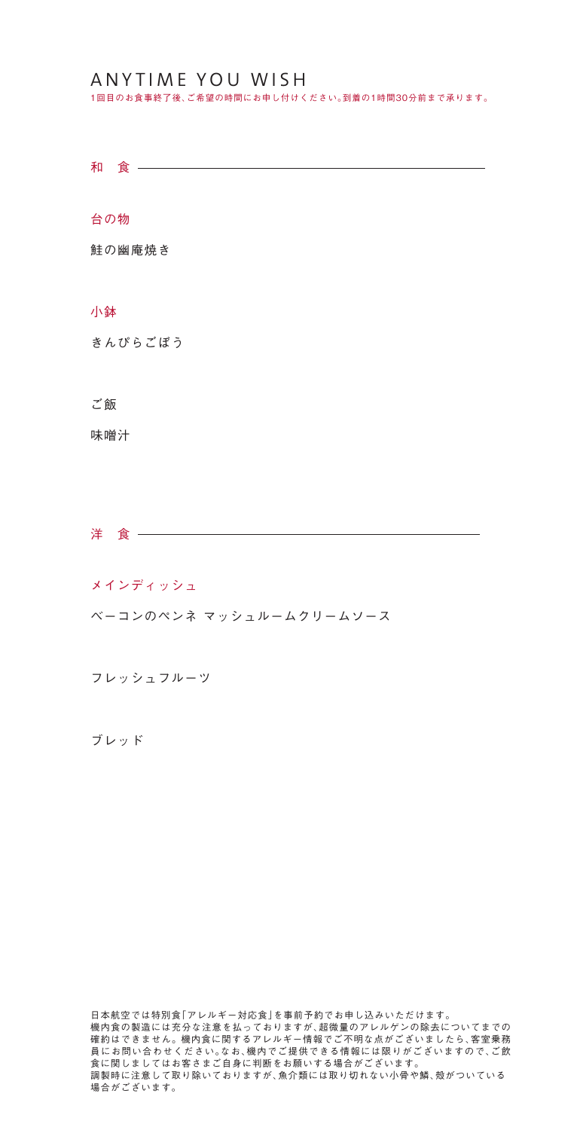1回目のお食事終了後、ご希望の時間にお申し付けください。到着の1時間30分前まで承ります。

和 食 -

台の物

鮭の幽庵焼き

### 小鉢

きんぴらごぼう

#### ご飯

味噌汁

洋 食 一

#### メインディッシュ

ベーコンのペンネ マッシュルームクリームソース

フレッシュフルーツ

ブレッド

日本航空では特別食「アレルギー対応食」を事前予約でお申し込みいただけます。 機内食の製造には充分な注意を払っておりますが、超微量のアレルゲンの除去についてまでの 確約はできません。機内食に関するアレルギー情報でご不明な点がございましたら、客室乗務 員にお問い合わせください。なお、機内でご提供できる情報には限りがございますので、ご飲 食に関しましてはお客さまご自身に判断をお願いする場合がございます。 調製時に注意して取り除いておりますが、魚介類には取り切れない小骨や鱗、殻がついている 場合がございます。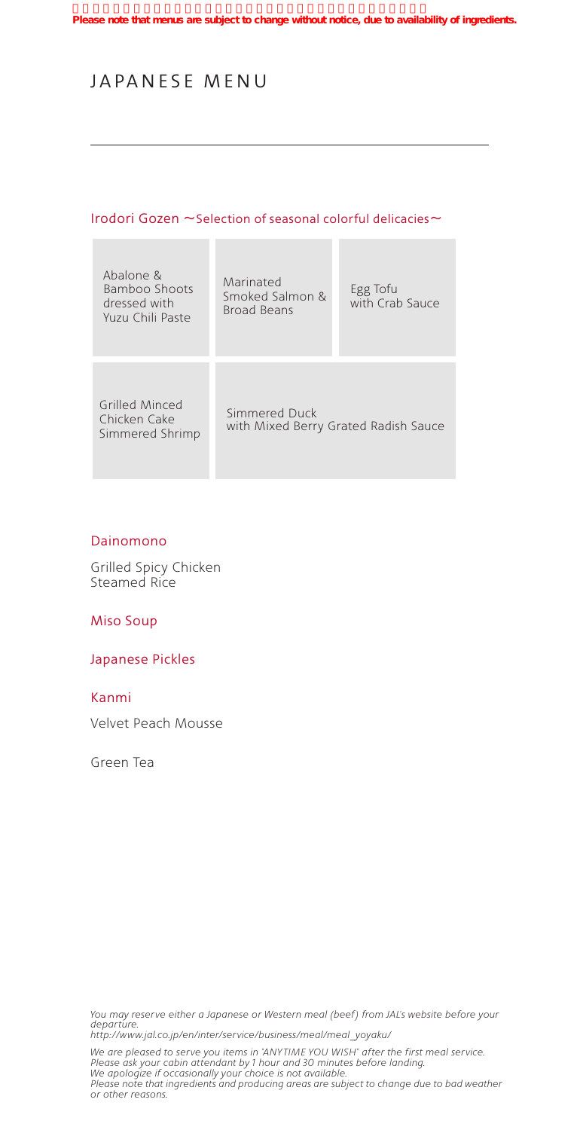# JAPANESE MENU

### Irodori Gozen 〜Selection of seasonal colorful delicacies〜

**STATISTICS** 

| Abalone &<br>Bamboo Shoots<br>dressed with<br>Yuzu Chili Paste | Marinated<br>Smoked Salmon &<br>Broad Beans           | Egg Tofu<br>with Crab Sauce |
|----------------------------------------------------------------|-------------------------------------------------------|-----------------------------|
| Grilled Minced<br>Chicken Cake<br>Simmered Shrimp              | Simmered Duck<br>with Mixed Berry Grated Radish Sauce |                             |

## Dainomono

п

Grilled Spicy Chicken Steamed Rice

Miso Soup

Japanese Pickles

#### Kanmi

Velvet Peach Mousse

Green Tea

You may reserve either a Japanese or Western meal (beef) from JAL's website before your *departure. http://www.jal.co.jp/en/inter/service/business/meal/meal\_yoyaku/*

*We are pleased to serve you items in "ANY TIME YOU WISH" after the first meal service. Please ask your cabin attendant by 1 hour and 30 minutes before landing. We apologize if occasionally your choice is not available. Please note that ingredients and producing areas are subject to change due to bad weather or other reasons.*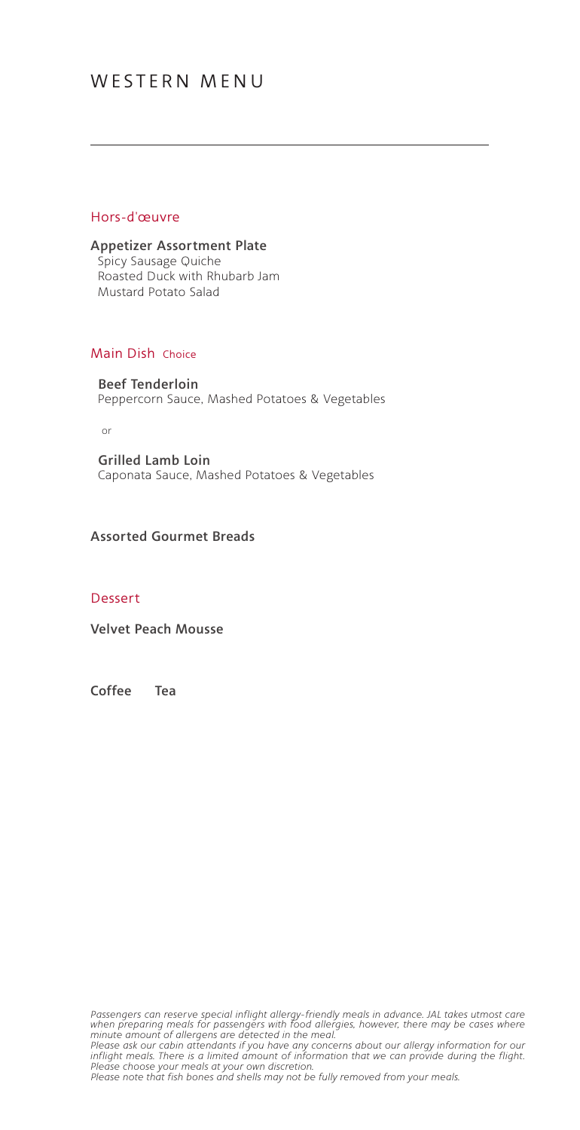#### Hors-d'œuvre

Appetizer Assortment Plate Spicy Sausage Quiche Roasted Duck with Rhubarb Jam Mustard Potato Salad

### Main Dish Choice

Beef Tenderloin Peppercorn Sauce, Mashed Potatoes & Vegetables

or

Grilled Lamb Loin Caponata Sauce, Mashed Potatoes & Vegetables

## Assorted Gourmet Breads

#### Dessert

Velvet Peach Mousse

Coffee Tea

*Passengers can reser ve special inflight allergy-friendly meals in advance. JAL takes utmost care when preparing meals for passengers with food allergies, however, there may be cases where minute amount of allergens are detected in the meal. Please ask our cabin attendants if you have any concerns about our allergy information for our inflight meals. There is a limited amount of information that we can provide during the flight. Please choose your meals at your own discretion.*

*Please note that fish bones and shells may not be fully removed from your meals.*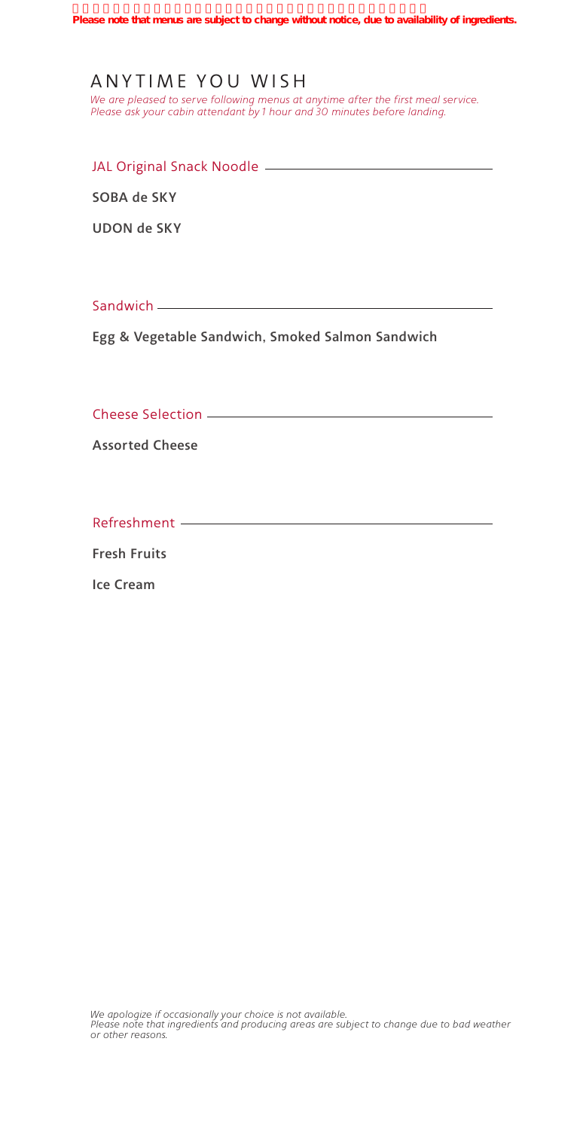*We are pleased to serve following menus at anytime after the first meal service. Please ask your cabin attendant by 1 hour and 30 minutes before landing.*

| JAL Original Snack Noodle |  |  |
|---------------------------|--|--|
|                           |  |  |

SOBA de SKY

UDON de SKY

Sandwich \_\_\_\_\_\_

Egg & Vegetable Sandwich, Smoked Salmon Sandwich

Cheese Selection

Assorted Cheese

Refreshment

Fresh Fruits

Ice Cream